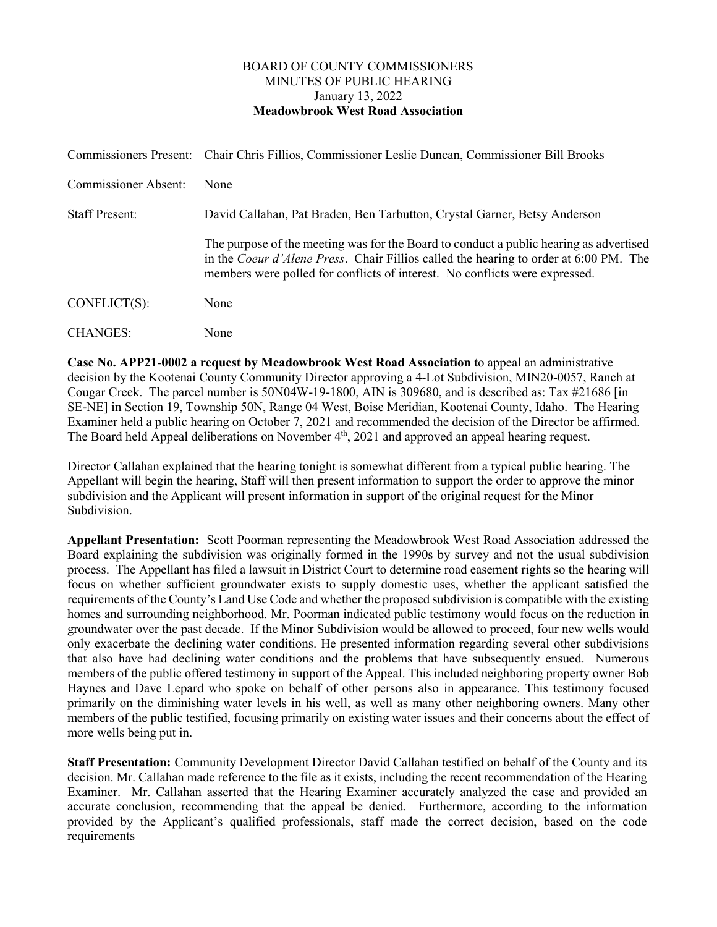## BOARD OF COUNTY COMMISSIONERS MINUTES OF PUBLIC HEARING January 13, 2022 **Meadowbrook West Road Association**

|                             | Commissioners Present: Chair Chris Fillios, Commissioner Leslie Duncan, Commissioner Bill Brooks                                                                                                                                                                      |
|-----------------------------|-----------------------------------------------------------------------------------------------------------------------------------------------------------------------------------------------------------------------------------------------------------------------|
| <b>Commissioner Absent:</b> | None                                                                                                                                                                                                                                                                  |
| <b>Staff Present:</b>       | David Callahan, Pat Braden, Ben Tarbutton, Crystal Garner, Betsy Anderson                                                                                                                                                                                             |
|                             | The purpose of the meeting was for the Board to conduct a public hearing as advertised<br>in the <i>Coeur d'Alene Press.</i> Chair Fillios called the hearing to order at 6:00 PM. The<br>members were polled for conflicts of interest. No conflicts were expressed. |
| $CONFLICT(S)$ :             | None                                                                                                                                                                                                                                                                  |
| <b>CHANGES:</b>             | None                                                                                                                                                                                                                                                                  |

**Case No. APP21-0002 a request by Meadowbrook West Road Association** to appeal an administrative decision by the Kootenai County Community Director approving a 4-Lot Subdivision, MIN20-0057, Ranch at Cougar Creek. The parcel number is 50N04W-19-1800, AIN is 309680, and is described as: Tax #21686 [in SE-NE] in Section 19, Township 50N, Range 04 West, Boise Meridian, Kootenai County, Idaho. The Hearing Examiner held a public hearing on October 7, 2021 and recommended the decision of the Director be affirmed. The Board held Appeal deliberations on November 4<sup>th</sup>, 2021 and approved an appeal hearing request.

Director Callahan explained that the hearing tonight is somewhat different from a typical public hearing. The Appellant will begin the hearing, Staff will then present information to support the order to approve the minor subdivision and the Applicant will present information in support of the original request for the Minor Subdivision.

**Appellant Presentation:** Scott Poorman representing the Meadowbrook West Road Association addressed the Board explaining the subdivision was originally formed in the 1990s by survey and not the usual subdivision process. The Appellant has filed a lawsuit in District Court to determine road easement rights so the hearing will focus on whether sufficient groundwater exists to supply domestic uses, whether the applicant satisfied the requirements of the County's Land Use Code and whether the proposed subdivision is compatible with the existing homes and surrounding neighborhood. Mr. Poorman indicated public testimony would focus on the reduction in groundwater over the past decade. If the Minor Subdivision would be allowed to proceed, four new wells would only exacerbate the declining water conditions. He presented information regarding several other subdivisions that also have had declining water conditions and the problems that have subsequently ensued. Numerous members of the public offered testimony in support of the Appeal. This included neighboring property owner Bob Haynes and Dave Lepard who spoke on behalf of other persons also in appearance. This testimony focused primarily on the diminishing water levels in his well, as well as many other neighboring owners. Many other members of the public testified, focusing primarily on existing water issues and their concerns about the effect of more wells being put in.

**Staff Presentation:** Community Development Director David Callahan testified on behalf of the County and its decision. Mr. Callahan made reference to the file as it exists, including the recent recommendation of the Hearing Examiner. Mr. Callahan asserted that the Hearing Examiner accurately analyzed the case and provided an accurate conclusion, recommending that the appeal be denied. Furthermore, according to the information provided by the Applicant's qualified professionals, staff made the correct decision, based on the code requirements